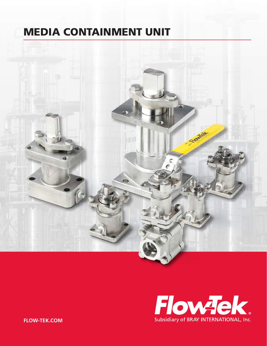## MEDIA CONTAINMENT UNIT





**FLOW-TEK.COM**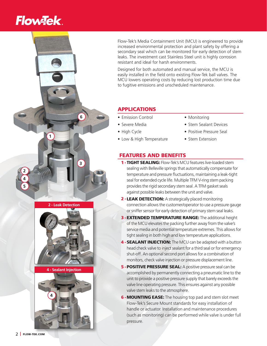# **Flow-Tek**

**1**

**3**

**2 - Leak Detection**

**4 - Sealant Injection**

**6**

**2**

**4 5** Flow-Tek's Media Containment Unit (MCU) is engineered to provide increased environmental protection and plant safety by offering a secondary seal which can be monitored for early detection of stem leaks. The investment cast Stainless Steel unit is highly corrosion resistant and ideal for harsh environments.

Designed for both automated and manual service, the MCU is easily installed in the field onto existing Flow-Tek ball valves. The MCU lowers operating costs by reducing lost production time due to fugitive emissions and unscheduled maintenance.

## APPLICATIONS

- Emission Control
- Severe Media
- High Cycle
- Low & High Temperature
- Monitoring
- Stem Sealant Devices
- Positive Pressure Seal
- Stem Extension

## FEATURES AND BENEFITS

- 1 TIGHT SEALING: Flow-Tek's MCU features live-loaded stem sealing with Belleville springs that automatically compensate for temperature and pressure fluctuations, maintaining a leak-tight seal for extended cycle life. Multiple TFM V-ring stem packing provides the rigid secondary stem seal. A TFM gasket seals against possible leaks between the unit and valve.
- 2 LEAK DETECTION: A strategically placed monitoring connection allows the customer/operator to use a pressure gauge or sniffer sensor for early detection of primary stem seal leaks.
- **3 EXTENDED TEMPERATURE RANGE:** The additional height of the MCU elevates the packing further away from the valve's service media and potential temperature extremes. This allows for tight sealing in both high and low temperature applications.
- 4 SEALANT INJECTION: The MCU can be adapted with a button head check valve to inject sealant for a third seal or for emergency shut-off. An optional second port allows for a combination of monitors, check valve injection or pressure displacement line.
- **5 POSITIVE PRESSURE SEAL:** A positive pressure seal can be accomplished by permanently connecting a pneumatic line to the unit to provide a positive pressure supply that barely exceeds the valve line operating pressure. This ensures against any possible valve stem leaks to the atmosphere.
- **6 MOUNTING EASE:** The housing top pad and stem slot meet Flow-Tek's Secure Mount standards for easy installation of handle or actuator. Installation and maintenance procedures (such as monitoring) can be performed while valve is under full pressure.



**4**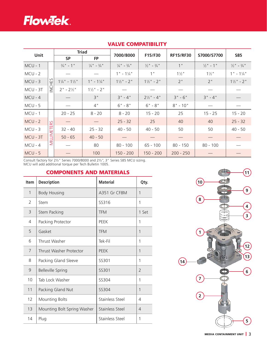

| Unit       |        | <b>Triad</b>                        |                                   | 7000/8000                         | F15/F30                           | <b>RF15/RF30</b> | S7000/S7700          | <b>S85</b>                        |
|------------|--------|-------------------------------------|-----------------------------------|-----------------------------------|-----------------------------------|------------------|----------------------|-----------------------------------|
|            |        | <b>SP</b>                           | <b>FP</b>                         |                                   |                                   |                  |                      |                                   |
| $MCU - 1$  |        | $\frac{3}{4}$ " - 1"                | $\frac{1}{4}$ " - $\frac{3}{4}$ " | $\frac{1}{4}$ " - $\frac{3}{4}$ " | $\frac{1}{2}$ " - $\frac{3}{4}$ " | 1"               | $\frac{1}{2}$ " - 1" | $\frac{1}{2}$ " - $\frac{3}{4}$ " |
| $MCU - 2$  |        |                                     |                                   | $1" - 1\frac{1}{4"$               | 1"                                | $1\frac{1}{2}$ " | $1\frac{1}{2}$ "     | $1" - 11/4"$                      |
| $MCU - 3$  | HES    | $1\frac{1}{4}$ " - $1\frac{1}{2}$ " | $1" - 1\frac{1}{4"$               | $1\frac{1}{2}$ " - 2"             | $1\frac{1}{2}$ " - 2"             | 2"               | 2"                   | $1\frac{1}{2}$ " - 2"             |
| $MCU - 3T$ | $\geq$ | $2" - 2\frac{1}{2}"$                | $1\frac{1}{2}$ " - 2"             |                                   |                                   |                  |                      |                                   |
| $MCU - 4$  |        |                                     | 3"                                | $3" - 4"$                         | $2\frac{1}{2}$ " - 4"             | $3" - 6"$        | $3" - 4"$            |                                   |
| $MCU - 5$  |        |                                     | 4"                                | $6" - 8"$                         | $6" - 8"$                         | $8" - 10"$       |                      |                                   |
| $MCU - 1$  |        | $20 - 25$                           | $8 - 20$                          | $8 - 20$                          | $15 - 20$                         | 25               | $15 - 25$            | $15 - 20$                         |
| $MCU - 2$  |        |                                     |                                   | $25 - 32$                         | 25                                | 40               | 40                   | $25 - 32$                         |
| $MCU - 3$  | ETERS  | $32 - 40$                           | $25 - 32$                         | $40 - 50$                         | $40 - 50$                         | 50               | 50                   | $40 - 50$                         |
| $MCU - 3T$ | MILLIM | $50 - 65$                           | $40 - 50$                         |                                   |                                   |                  |                      |                                   |
| $MCU - 4$  |        |                                     | 80                                | $80 - 100$                        | 65 - 100                          | $80 - 150$       | $80 - 100$           |                                   |
| $MCU - 5$  |        |                                     | 100                               | $150 - 200$                       | $150 - 200$                       | $200 - 250$      |                      |                                   |

### VALVE COMPATIBILITY

Consult factory for 2½" Series 7000/8000 and 2½", 3" Series S85 MCU sizing. MCU will add additional torque per Tech Bulletin 1005.

### COMPONENTS AND MATERIALS

| <b>Item</b>  | <b>Description</b>          | <b>Material</b> | Qty.           |
|--------------|-----------------------------|-----------------|----------------|
| $\mathbf{1}$ | <b>Body Housing</b>         | A351 Gr CF8M    | $\mathbf{1}$   |
| 2            | Stem                        | SS316           | 1              |
| 3            | Stem Packing                | <b>TFM</b>      | 1 Set          |
| 4            | Packing Protector           | <b>PFFK</b>     | 1              |
| 5            | Gasket                      | <b>TFM</b>      | 1              |
| 6            | Thrust Washer               | Tek-Fil         | 1              |
| 7            | Thrust Washer Protector     | <b>PFFK</b>     | $\mathbf{1}$   |
| 8            | Packing Gland Sleeve        | SS301           | 1              |
| 9            | <b>Belleville Spring</b>    | SS301           | $\overline{2}$ |
| 10           | Tab Lock Washer             | SS304           | 1              |
| 11           | Packing Gland Nut           | SS304           | $\mathbf{1}$   |
| 12           | <b>Mounting Bolts</b>       | Stainless Steel | 4              |
| 13           | Mounting Bolt Spring Washer | Stainless Steel | 4              |
| 14           | Plug                        | Stainless Steel | 1              |